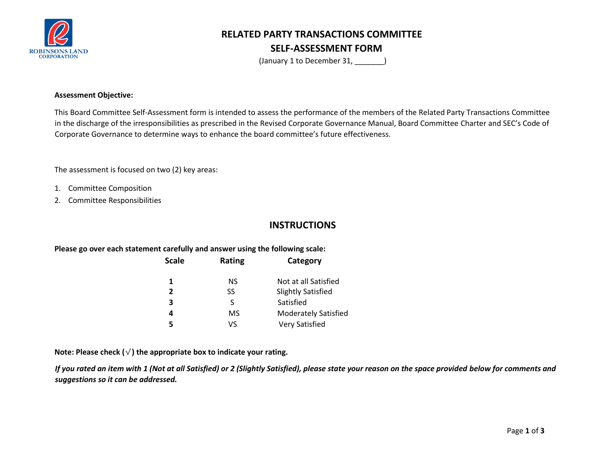

# **RELATED PARTY TRANSACTIONS COMMITTEE SELF-ASSESSMENT FORM**

(January 1 to December 31,  $\qquad \qquad$  )

### **Assessment Objective:**

This Board Committee Self-Assessment form is intended to assess the performance of the members of the Related Party Transactions Committee in the discharge of the irresponsibilities as prescribed in the Revised Corporate Governance Manual, Board Committee Charter and SEC's Code of Corporate Governance to determine ways to enhance the board committee's future effectiveness.

The assessment is focused on two (2) key areas:

- 1. Committee Composition
- 2. Committee Responsibilities

## **INSTRUCTIONS**

### **Please go over each statement carefully and answer using the following scale:**

| <b>Scale</b>   | Rating    | Category                    |  |  |  |  |  |  |
|----------------|-----------|-----------------------------|--|--|--|--|--|--|
| 1              | NS        | Not at all Satisfied        |  |  |  |  |  |  |
| $\overline{2}$ | SS        | <b>Slightly Satisfied</b>   |  |  |  |  |  |  |
| 3              | S         | Satisfied                   |  |  |  |  |  |  |
| 4              | <b>MS</b> | <b>Moderately Satisfied</b> |  |  |  |  |  |  |
| 5              | VS        | <b>Very Satisfied</b>       |  |  |  |  |  |  |

**Note: Please check (**√**) the appropriate box to indicate your rating.** 

*If you rated an item with 1 (Not at all Satisfied) or 2 (Slightly Satisfied), please state your reason on the space provided below for comments and suggestions so it can be addressed.*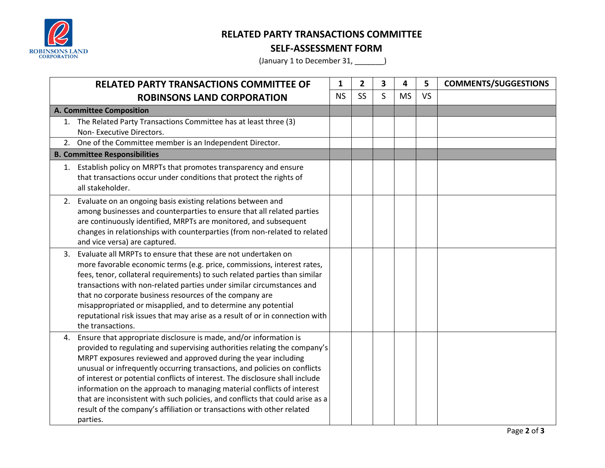

## **RELATED PARTY TRANSACTIONS COMMITTEE**

## **SELF-ASSESSMENT FORM**

(January 1 to December 31, \_\_\_\_\_\_\_)

| <b>RELATED PARTY TRANSACTIONS COMMITTEE OF</b> |                                                                                                                                                                                                                                                                                                                                                                                                                                                                                                                                                                                                                                   | 1         | 2         | 3 | 4         | 5         | <b>COMMENTS/SUGGESTIONS</b> |
|------------------------------------------------|-----------------------------------------------------------------------------------------------------------------------------------------------------------------------------------------------------------------------------------------------------------------------------------------------------------------------------------------------------------------------------------------------------------------------------------------------------------------------------------------------------------------------------------------------------------------------------------------------------------------------------------|-----------|-----------|---|-----------|-----------|-----------------------------|
|                                                | <b>ROBINSONS LAND CORPORATION</b>                                                                                                                                                                                                                                                                                                                                                                                                                                                                                                                                                                                                 | <b>NS</b> | <b>SS</b> | S | <b>MS</b> | <b>VS</b> |                             |
|                                                | A. Committee Composition                                                                                                                                                                                                                                                                                                                                                                                                                                                                                                                                                                                                          |           |           |   |           |           |                             |
|                                                | 1. The Related Party Transactions Committee has at least three (3)<br>Non-Executive Directors.                                                                                                                                                                                                                                                                                                                                                                                                                                                                                                                                    |           |           |   |           |           |                             |
|                                                | 2. One of the Committee member is an Independent Director.                                                                                                                                                                                                                                                                                                                                                                                                                                                                                                                                                                        |           |           |   |           |           |                             |
|                                                | <b>B. Committee Responsibilities</b>                                                                                                                                                                                                                                                                                                                                                                                                                                                                                                                                                                                              |           |           |   |           |           |                             |
|                                                | 1. Establish policy on MRPTs that promotes transparency and ensure<br>that transactions occur under conditions that protect the rights of<br>all stakeholder.                                                                                                                                                                                                                                                                                                                                                                                                                                                                     |           |           |   |           |           |                             |
|                                                | 2. Evaluate on an ongoing basis existing relations between and<br>among businesses and counterparties to ensure that all related parties<br>are continuously identified, MRPTs are monitored, and subsequent<br>changes in relationships with counterparties (from non-related to related<br>and vice versa) are captured.                                                                                                                                                                                                                                                                                                        |           |           |   |           |           |                             |
|                                                | 3. Evaluate all MRPTs to ensure that these are not undertaken on<br>more favorable economic terms (e.g. price, commissions, interest rates,<br>fees, tenor, collateral requirements) to such related parties than similar<br>transactions with non-related parties under similar circumstances and<br>that no corporate business resources of the company are<br>misappropriated or misapplied, and to determine any potential<br>reputational risk issues that may arise as a result of or in connection with<br>the transactions.                                                                                               |           |           |   |           |           |                             |
|                                                | 4. Ensure that appropriate disclosure is made, and/or information is<br>provided to regulating and supervising authorities relating the company's<br>MRPT exposures reviewed and approved during the year including<br>unusual or infrequently occurring transactions, and policies on conflicts<br>of interest or potential conflicts of interest. The disclosure shall include<br>information on the approach to managing material conflicts of interest<br>that are inconsistent with such policies, and conflicts that could arise as a<br>result of the company's affiliation or transactions with other related<br>parties. |           |           |   |           |           |                             |